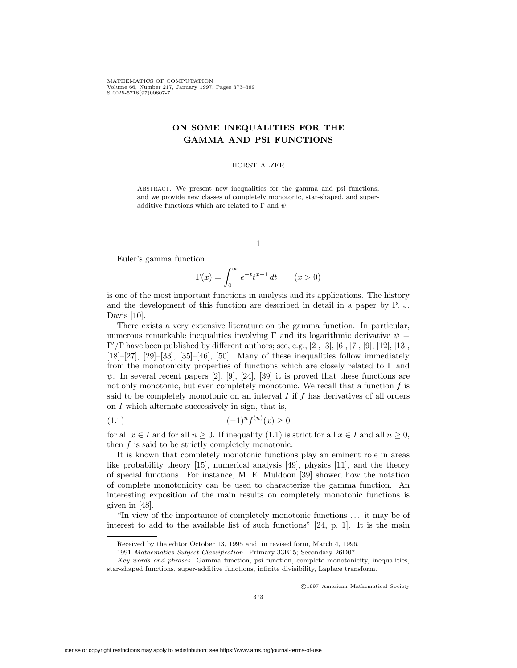MATHEMATICS OF COMPUTATION Volume 66, Number 217, January 1997, Pages 373–389 S 0025-5718(97)00807-7

# **ON SOME INEQUALITIES FOR THE GAMMA AND PSI FUNCTIONS**

## HORST ALZER

ABSTRACT. We present new inequalities for the gamma and psi functions, and we provide new classes of completely monotonic, star-shaped, and superadditive functions which are related to  $\Gamma$  and  $\psi$ .

1

Euler's gamma function

$$
\Gamma(x) = \int_0^\infty e^{-t} t^{x-1} dt \qquad (x > 0)
$$

is one of the most important functions in analysis and its applications. The history and the development of this function are described in detail in a paper by P. J. Davis [10].

There exists a very extensive literature on the gamma function. In particular, numerous remarkable inequalities involving  $\Gamma$  and its logarithmic derivative  $\psi =$  $\Gamma'/\Gamma$  have been published by different authors; see, e.g., [2], [3], [6], [7], [9], [12], [13],  $[18]$ – $[27]$ ,  $[29]$ – $[33]$ ,  $[35]$ – $[46]$ ,  $[50]$ . Many of these inequalities follow immediately from the monotonicity properties of functions which are closely related to Γ and  $\psi$ . In several recent papers [2], [9], [24], [39] it is proved that these functions are not only monotonic, but even completely monotonic. We recall that a function  $f$  is said to be completely monotonic on an interval  $I$  if  $f$  has derivatives of all orders on  $I$  which alternate successively in sign, that is,

$$
(1.1)\qquad \qquad (-1)^n f^{(n)}(x) \ge 0
$$

for all  $x \in I$  and for all  $n \geq 0$ . If inequality (1.1) is strict for all  $x \in I$  and all  $n \geq 0$ , then  $f$  is said to be strictly completely monotonic.

It is known that completely monotonic functions play an eminent role in areas like probability theory [15], numerical analysis [49], physics [11], and the theory of special functions. For instance, M. E. Muldoon [39] showed how the notation of complete monotonicity can be used to characterize the gamma function. An interesting exposition of the main results on completely monotonic functions is given in [48].

"In view of the importance of completely monotonic functions ... it may be of interest to add to the available list of such functions" [24, p. 1]. It is the main

c 1997 American Mathematical Society

Received by the editor October 13, 1995 and, in revised form, March 4, 1996.

<sup>1991</sup> Mathematics Subject Classification. Primary 33B15; Secondary 26D07.

Key words and phrases. Gamma function, psi function, complete monotonicity, inequalities, star-shaped functions, super-additive functions, infinite divisibility, Laplace transform.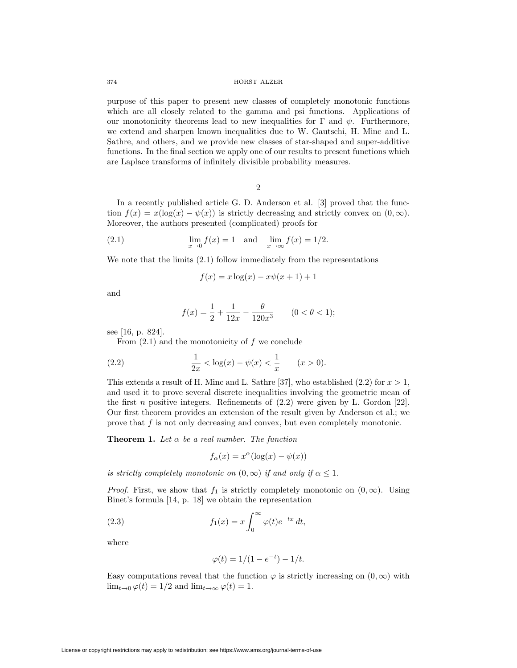purpose of this paper to present new classes of completely monotonic functions which are all closely related to the gamma and psi functions. Applications of our monotonicity theorems lead to new inequalities for  $\Gamma$  and  $\psi$ . Furthermore, we extend and sharpen known inequalities due to W. Gautschi, H. Minc and L. Sathre, and others, and we provide new classes of star-shaped and super-additive functions. In the final section we apply one of our results to present functions which are Laplace transforms of infinitely divisible probability measures.

2

In a recently published article G. D. Anderson et al. [3] proved that the function  $f(x) = x(\log(x) - \psi(x))$  is strictly decreasing and strictly convex on  $(0, \infty)$ . Moreover, the authors presented (complicated) proofs for

(2.1) 
$$
\lim_{x \to 0} f(x) = 1
$$
 and  $\lim_{x \to \infty} f(x) = 1/2$ .

We note that the limits (2.1) follow immediately from the representations

$$
f(x) = x \log(x) - x\psi(x+1) + 1
$$

and

$$
f(x) = \frac{1}{2} + \frac{1}{12x} - \frac{\theta}{120x^3} \qquad (0 < \theta < 1);
$$

see [16, p. 824].

From  $(2.1)$  and the monotonicity of f we conclude

(2.2) 
$$
\frac{1}{2x} < \log(x) - \psi(x) < \frac{1}{x} \qquad (x > 0).
$$

This extends a result of H. Minc and L. Sathre [37], who established  $(2.2)$  for  $x > 1$ , and used it to prove several discrete inequalities involving the geometric mean of the first n positive integers. Refinements of  $(2.2)$  were given by L. Gordon [22]. Our first theorem provides an extension of the result given by Anderson et al.; we prove that f is not only decreasing and convex, but even completely monotonic.

**Theorem 1.** Let  $\alpha$  be a real number. The function

$$
f_{\alpha}(x) = x^{\alpha}(\log(x) - \psi(x))
$$

is strictly completely monotonic on  $(0, \infty)$  if and only if  $\alpha \leq 1$ .

*Proof.* First, we show that  $f_1$  is strictly completely monotonic on  $(0, \infty)$ . Using Binet's formula [14, p. 18] we obtain the representation

(2.3) 
$$
f_1(x) = x \int_0^\infty \varphi(t) e^{-tx} dt,
$$

where

$$
\varphi(t) = 1/(1 - e^{-t}) - 1/t.
$$

Easy computations reveal that the function  $\varphi$  is strictly increasing on  $(0, \infty)$  with  $\lim_{t\to 0} \varphi(t) = 1/2$  and  $\lim_{t\to \infty} \varphi(t) = 1$ .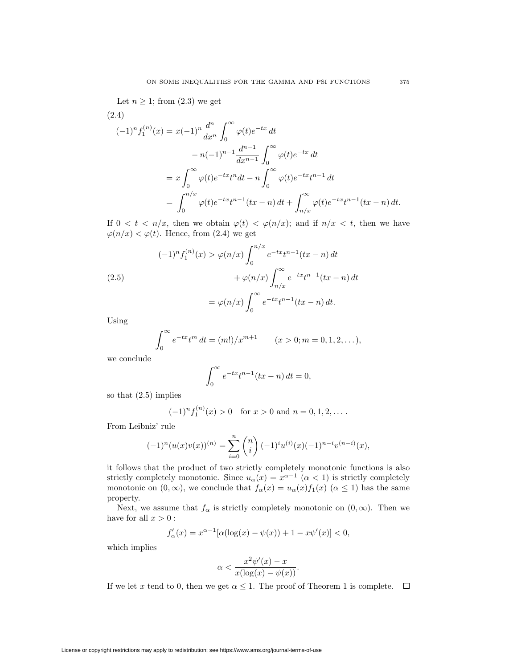Let  $n \geq 1$ ; from  $(2.3)$  we get

(2.4)  
\n
$$
(-1)^n f_1^{(n)}(x) = x(-1)^n \frac{d^n}{dx^n} \int_0^\infty \varphi(t) e^{-tx} dt
$$
\n
$$
- n(-1)^{n-1} \frac{d^{n-1}}{dx^{n-1}} \int_0^\infty \varphi(t) e^{-tx} dt
$$
\n
$$
= x \int_0^\infty \varphi(t) e^{-tx} t^n dt - n \int_0^\infty \varphi(t) e^{-tx} t^{n-1} dt
$$
\n
$$
= \int_0^{n/x} \varphi(t) e^{-tx} t^{n-1} (tx - n) dt + \int_{n/x}^\infty \varphi(t) e^{-tx} t^{n-1} (tx - n) dt.
$$

If  $0 < t < n/x$ , then we obtain  $\varphi(t) < \varphi(n/x)$ ; and if  $n/x < t$ , then we have  $\varphi(n/x) < \varphi(t)$ . Hence, from (2.4) we get

(2.5)  
\n
$$
(-1)^{n} f_{1}^{(n)}(x) > \varphi(n/x) \int_{0}^{n/x} e^{-tx} t^{n-1} (tx - n) dt + \varphi(n/x) \int_{n/x}^{\infty} e^{-tx} t^{n-1} (tx - n) dt
$$
\n
$$
= \varphi(n/x) \int_{0}^{\infty} e^{-tx} t^{n-1} (tx - n) dt.
$$

Using

$$
\int_0^\infty e^{-tx} t^m dt = (m!) / x^{m+1} \qquad (x > 0; m = 0, 1, 2, ...),
$$

we conclude

$$
\int_0^\infty e^{-tx}t^{n-1}(tx - n) dt = 0,
$$

so that (2.5) implies

$$
(-1)^n f_1^{(n)}(x) > 0
$$
 for  $x > 0$  and  $n = 0, 1, 2, ...$ 

From Leibniz' rule

$$
(-1)^{n}(u(x)v(x))^{(n)} = \sum_{i=0}^{n} {n \choose i} (-1)^{i} u^{(i)}(x) (-1)^{n-i} v^{(n-i)}(x),
$$

it follows that the product of two strictly completely monotonic functions is also strictly completely monotonic. Since  $u_{\alpha}(x) = x^{\alpha-1}$  ( $\alpha < 1$ ) is strictly completely monotonic on  $(0, \infty)$ , we conclude that  $f_{\alpha}(x) = u_{\alpha}(x) f_1(x)$   $(\alpha \leq 1)$  has the same property.

Next, we assume that  $f_{\alpha}$  is strictly completely monotonic on  $(0, \infty)$ . Then we have for all  $x > 0$ :

$$
f'_{\alpha}(x) = x^{\alpha - 1} [\alpha (\log(x) - \psi(x)) + 1 - x\psi'(x)] < 0,
$$

which implies

$$
\alpha < \frac{x^2 \psi'(x) - x}{x(\log(x) - \psi(x))}.
$$

If we let x tend to 0, then we get  $\alpha \leq 1$ . The proof of Theorem 1 is complete.  $\Box$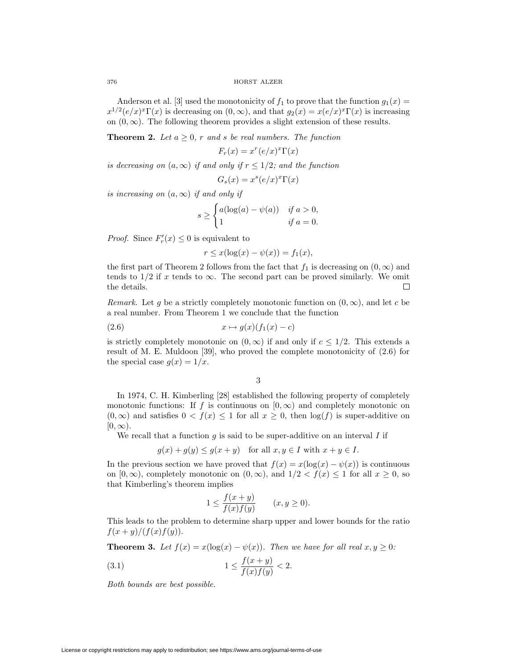Anderson et al. [3] used the monotonicity of  $f_1$  to prove that the function  $g_1(x) =$  $x^{1/2}(e/x)^{x}\Gamma(x)$  is decreasing on  $(0,\infty)$ , and that  $g_2(x) = x(e/x)^{x}\Gamma(x)$  is increasing on  $(0, \infty)$ . The following theorem provides a slight extension of these results.

**Theorem 2.** Let  $a \geq 0$ , r and s be real numbers. The function

 $F_r(x) = x^r (e/x)^x \Gamma(x)$ 

is decreasing on  $(a, \infty)$  if and only if  $r \leq 1/2$ ; and the function

$$
G_s(x) = x^s (e/x)^x \Gamma(x)
$$

is increasing on  $(a, \infty)$  if and only if

$$
s \ge \begin{cases} a(\log(a) - \psi(a)) & \text{if } a > 0, \\ 1 & \text{if } a = 0. \end{cases}
$$

*Proof.* Since  $F'_r(x) \leq 0$  is equivalent to

$$
r \leq x(\log(x) - \psi(x)) = f_1(x),
$$

the first part of Theorem 2 follows from the fact that  $f_1$  is decreasing on  $(0, \infty)$  and tends to 1/2 if x tends to  $\infty$ . The second part can be proved similarly. We omit the details. the details.

Remark. Let q be a strictly completely monotonic function on  $(0, \infty)$ , and let c be a real number. From Theorem 1 we conclude that the function

$$
(2.6) \t\t x \mapsto g(x)(f_1(x) - c)
$$

is strictly completely monotonic on  $(0, \infty)$  if and only if  $c \leq 1/2$ . This extends a result of M. E. Muldoon [39], who proved the complete monotonicity of (2.6) for the special case  $g(x)=1/x$ .

3

In 1974, C. H. Kimberling [28] established the following property of completely monotonic functions: If f is continuous on  $[0, \infty)$  and completely monotonic on  $(0, \infty)$  and satisfies  $0 < f(x) \leq 1$  for all  $x \geq 0$ , then  $\log(f)$  is super-additive on  $[0, \infty)$ .

We recall that a function  $g$  is said to be super-additive on an interval  $I$  if

$$
g(x) + g(y) \le g(x + y)
$$
 for all  $x, y \in I$  with  $x + y \in I$ .

In the previous section we have proved that  $f(x) = x(\log(x) - \psi(x))$  is continuous on  $[0, \infty)$ , completely monotonic on  $(0, \infty)$ , and  $1/2 < f(x) \leq 1$  for all  $x \geq 0$ , so that Kimberling's theorem implies

$$
1 \le \frac{f(x+y)}{f(x)f(y)} \qquad (x, y \ge 0).
$$

This leads to the problem to determine sharp upper and lower bounds for the ratio  $f(x + y)/(f(x)f(y)).$ 

**Theorem 3.** Let  $f(x) = x(\log(x) - \psi(x))$ . Then we have for all real  $x, y \ge 0$ :

(3.1) 
$$
1 \le \frac{f(x+y)}{f(x)f(y)} < 2.
$$

Both bounds are best possible.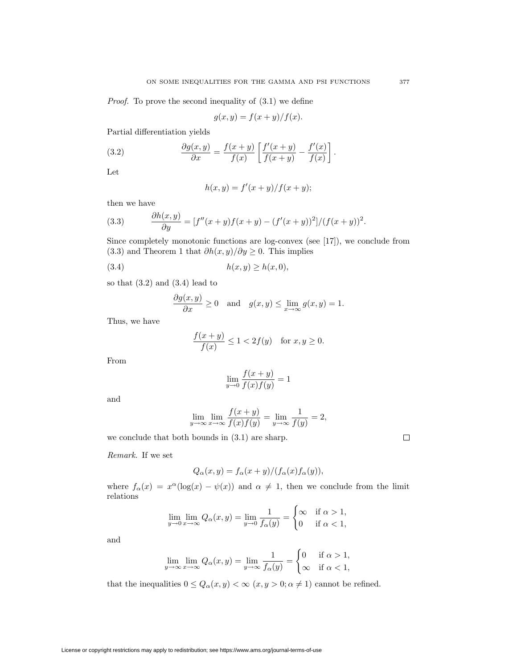Proof. To prove the second inequality of (3.1) we define

$$
g(x, y) = f(x + y) / f(x).
$$

Partial differentiation yields

(3.2) 
$$
\frac{\partial g(x,y)}{\partial x} = \frac{f(x+y)}{f(x)} \left[ \frac{f'(x+y)}{f(x+y)} - \frac{f'(x)}{f(x)} \right].
$$

Let

$$
h(x, y) = f'(x + y) / f(x + y);
$$

then we have

(3.3) 
$$
\frac{\partial h(x,y)}{\partial y} = [f''(x+y)f(x+y) - (f'(x+y))^2]/(f(x+y))^2.
$$

Since completely monotonic functions are log-convex (see [17]), we conclude from (3.3) and Theorem 1 that  $\partial h(x, y)/\partial y \geq 0$ . This implies

$$
(3.4) \t\t\t h(x,y) \ge h(x,0),
$$

so that  $(3.2)$  and  $(3.4)$  lead to

$$
\frac{\partial g(x,y)}{\partial x} \ge 0 \quad \text{and} \quad g(x,y) \le \lim_{x \to \infty} g(x,y) = 1.
$$

Thus, we have

$$
\frac{f(x+y)}{f(x)} \le 1 < 2f(y) \quad \text{for } x, y \ge 0.
$$

From

$$
\lim_{y \to 0} \frac{f(x+y)}{f(x)f(y)} = 1
$$

and

$$
\lim_{y \to \infty} \lim_{x \to \infty} \frac{f(x+y)}{f(x)f(y)} = \lim_{y \to \infty} \frac{1}{f(y)} = 2,
$$

we conclude that both bounds in (3.1) are sharp.

Remark. If we set

$$
Q_{\alpha}(x,y) = f_{\alpha}(x+y)/(f_{\alpha}(x)f_{\alpha}(y)),
$$

where  $f_{\alpha}(x) = x^{\alpha}(\log(x) - \psi(x))$  and  $\alpha \neq 1$ , then we conclude from the limit relations

$$
\lim_{y \to 0} \lim_{x \to \infty} Q_{\alpha}(x, y) = \lim_{y \to 0} \frac{1}{f_{\alpha}(y)} = \begin{cases} \infty & \text{if } \alpha > 1, \\ 0 & \text{if } \alpha < 1, \end{cases}
$$

and

$$
\lim_{y \to \infty} \lim_{x \to \infty} Q_{\alpha}(x, y) = \lim_{y \to \infty} \frac{1}{f_{\alpha}(y)} = \begin{cases} 0 & \text{if } \alpha > 1, \\ \infty & \text{if } \alpha < 1, \end{cases}
$$

that the inequalities  $0\leq Q_\alpha(x,y)<\infty$   $(x,y>0;\alpha\neq 1)$  cannot be refined.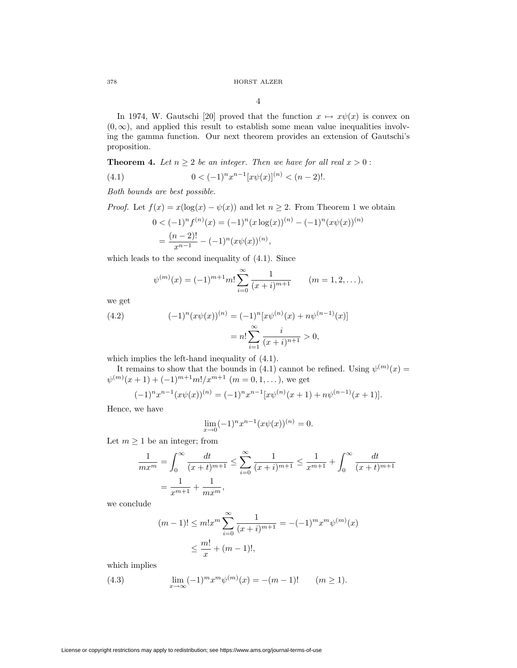4

In 1974, W. Gautschi [20] proved that the function  $x \mapsto x\psi(x)$  is convex on  $(0, \infty)$ , and applied this result to establish some mean value inequalities involving the gamma function. Our next theorem provides an extension of Gautschi's proposition.

**Theorem 4.** Let  $n \geq 2$  be an integer. Then we have for all real  $x > 0$ :

(4.1) 
$$
0 < (-1)^n x^{n-1} [x \psi(x)]^{(n)} < (n-2)!
$$

Both bounds are best possible.

*Proof.* Let  $f(x) = x(\log(x) - \psi(x))$  and let  $n \geq 2$ . From Theorem 1 we obtain

$$
0 < (-1)^n f^{(n)}(x) = (-1)^n (x \log(x))^{(n)} - (-1)^n (x \psi(x))^{(n)}
$$
  
= 
$$
\frac{(n-2)!}{x^{n-1}} - (-1)^n (x \psi(x))^{(n)},
$$

which leads to the second inequality of (4.1). Since

$$
\psi^{(m)}(x) = (-1)^{m+1} m! \sum_{i=0}^{\infty} \frac{1}{(x+i)^{m+1}} \qquad (m = 1, 2, \dots),
$$

we get

(4.2) 
$$
(-1)^n (x\psi(x))^{(n)} = (-1)^n [x\psi^{(n)}(x) + n\psi^{(n-1)}(x)]
$$

$$
= n! \sum_{i=1}^{\infty} \frac{i}{(x+i)^{n+1}} > 0,
$$

which implies the left-hand inequality of (4.1).

It remains to show that the bounds in (4.1) cannot be refined. Using  $\psi^{(m)}(x) =$  $\psi^{(m)}(x+1) + (-1)^{m+1}m!/x^{m+1}$   $(m = 0, 1, ...),$  we get

$$
(-1)^n x^{n-1} (x \psi(x))^{(n)} = (-1)^n x^{n-1} [x \psi^{(n)}(x+1) + n \psi^{(n-1)}(x+1)].
$$

Hence, we have

$$
\lim_{x \to 0} (-1)^n x^{n-1} (x \psi(x))^{(n)} = 0.
$$

Let  $m \geq 1$  be an integer; from

$$
\frac{1}{mx^m} = \int_0^\infty \frac{dt}{(x+t)^{m+1}} \le \sum_{i=0}^\infty \frac{1}{(x+i)^{m+1}} \le \frac{1}{x^{m+1}} + \int_0^\infty \frac{dt}{(x+t)^{m+1}}
$$

$$
= \frac{1}{x^{m+1}} + \frac{1}{mx^m},
$$

we conclude

$$
(m-1)! \le m! x^m \sum_{i=0}^{\infty} \frac{1}{(x+i)^{m+1}} = -(-1)^m x^m \psi^{(m)}(x)
$$
  

$$
\le \frac{m!}{x} + (m-1)!,
$$

which implies

(4.3) 
$$
\lim_{x \to \infty} (-1)^m x^m \psi^{(m)}(x) = -(m-1)! \qquad (m \ge 1).
$$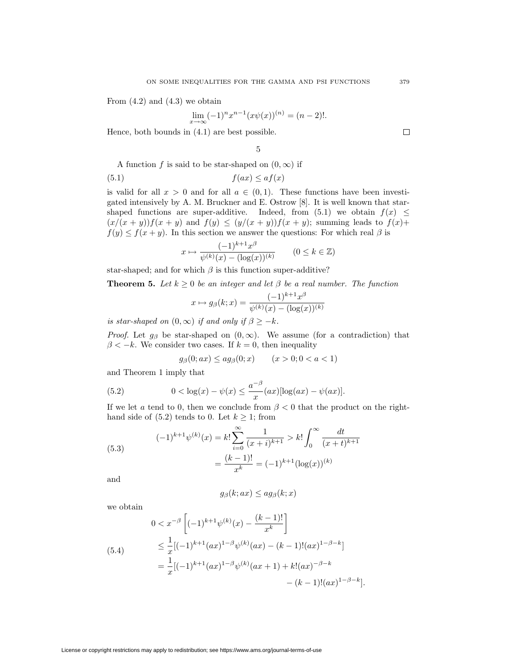From  $(4.2)$  and  $(4.3)$  we obtain

$$
\lim_{x \to \infty} (-1)^n x^{n-1} (x \psi(x))^{(n)} = (n-2)!.
$$

Hence, both bounds in (4.1) are best possible.

5

A function f is said to be star-shaped on  $(0, \infty)$  if

$$
(5.1) \t\t f(ax) \le af(x)
$$

is valid for all  $x > 0$  and for all  $a \in (0,1)$ . These functions have been investigated intensively by A. M. Bruckner and E. Ostrow [8]. It is well known that starshaped functions are super-additive. Indeed, from (5.1) we obtain  $f(x) \leq$  $(x/(x+y))f(x+y)$  and  $f(y) \leq (y/(x+y))f(x+y)$ ; summing leads to  $f(x)$ +  $f(y) \le f(x + y)$ . In this section we answer the questions: For which real  $\beta$  is

$$
x \mapsto \frac{(-1)^{k+1}x^{\beta}}{\psi^{(k)}(x) - (\log(x))^{(k)}} \qquad (0 \le k \in \mathbb{Z})
$$

star-shaped; and for which  $\beta$  is this function super-additive?

**Theorem 5.** Let  $k \geq 0$  be an integer and let  $\beta$  be a real number. The function

$$
x \mapsto g_{\beta}(k; x) = \frac{(-1)^{k+1} x^{\beta}}{\psi^{(k)}(x) - (\log(x))^{(k)}}
$$

is star-shaped on  $(0, \infty)$  if and only if  $\beta \geq -k$ .

*Proof.* Let  $g_\beta$  be star-shaped on  $(0, \infty)$ . We assume (for a contradiction) that  $\beta < -k$ . We consider two cases. If  $k = 0$ , then inequality

$$
g_{\beta}(0; ax) \leq ag_{\beta}(0; x) \qquad (x > 0; 0 < a < 1)
$$

and Theorem 1 imply that

(5.2) 
$$
0 < \log(x) - \psi(x) \le \frac{a^{-\beta}}{x}(ax) [\log(ax) - \psi(ax)].
$$

If we let a tend to 0, then we conclude from  $\beta < 0$  that the product on the righthand side of (5.2) tends to 0. Let  $k \geq 1$ ; from

(5.3)  

$$
(-1)^{k+1}\psi^{(k)}(x) = k! \sum_{i=0}^{\infty} \frac{1}{(x+i)^{k+1}} > k! \int_{0}^{\infty} \frac{dt}{(x+t)^{k+1}}
$$

$$
= \frac{(k-1)!}{x^k} = (-1)^{k+1} (\log(x))^{(k)}
$$

and

$$
g_{\beta}(k; ax) \leq a g_{\beta}(k; x)
$$

we obtain

(5.4)  
\n
$$
0 < x^{-\beta} \left[ (-1)^{k+1} \psi^{(k)}(x) - \frac{(k-1)!}{x^k} \right]
$$
\n
$$
\leq \frac{1}{x} [(-1)^{k+1} (ax)^{1-\beta} \psi^{(k)}(ax) - (k-1)! (ax)^{1-\beta-k}]
$$
\n
$$
= \frac{1}{x} [(-1)^{k+1} (ax)^{1-\beta} \psi^{(k)}(ax+1) + k! (ax)^{-\beta-k}] - (k-1)! (ax)^{1-\beta-k}].
$$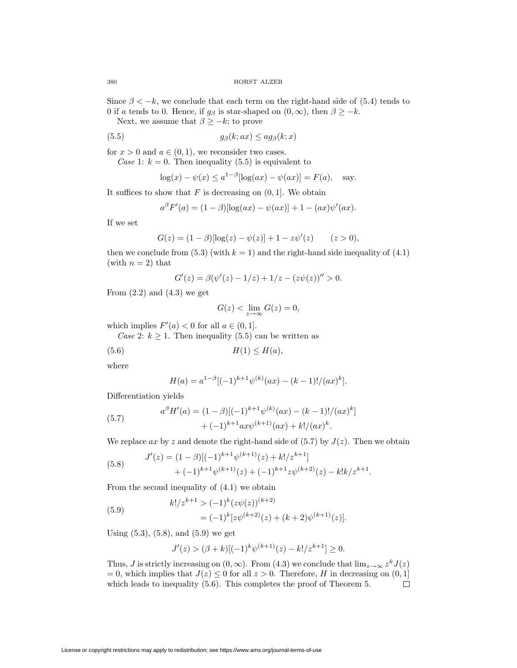Since  $\beta < -k$ , we conclude that each term on the right-hand side of (5.4) tends to 0 if a tends to 0. Hence, if  $g_\beta$  is star-shaped on  $(0, \infty)$ , then  $\beta \geq -k$ .

Next, we assume that  $\beta \geq -k$ ; to prove

(5.5) 
$$
g_{\beta}(k; ax) \leq ag_{\beta}(k; x)
$$

for  $x > 0$  and  $a \in (0, 1)$ , we reconsider two cases.

Case 1:  $k = 0$ . Then inequality (5.5) is equivalent to

$$
\log(x) - \psi(x) \le a^{1-\beta}[\log(ax) - \psi(ax)] = F(a),
$$
 say.

It suffices to show that  $F$  is decreasing on  $(0, 1]$ . We obtain

$$
a^{\beta} F'(a) = (1 - \beta) [\log(ax) - \psi(ax)] + 1 - (ax)\psi'(ax).
$$

If we set

$$
G(z) = (1 - \beta)[\log(z) - \psi(z)] + 1 - z\psi'(z) \qquad (z > 0),
$$

then we conclude from (5.3) (with  $k = 1$ ) and the right-hand side inequality of (4.1) (with  $n = 2$ ) that

$$
G'(z) = \beta(\psi'(z) - 1/z) + 1/z - (z\psi(z))'' > 0.
$$

From  $(2.2)$  and  $(4.3)$  we get

$$
G(z) < \lim_{z \to \infty} G(z) = 0,
$$

which implies  $F'(a) < 0$  for all  $a \in (0, 1]$ .

Case 2:  $k \geq 1$ . Then inequality (5.5) can be written as

$$
(5.6) \t\t\t H(1) \le H(a),
$$

where

$$
H(a) = a^{1-\beta} [(-1)^{k+1} \psi^{(k)}(ax) - (k-1)!/(ax)^k].
$$

Differentiation yields

(5.7) 
$$
a^{\beta} H'(a) = (1 - \beta)[(-1)^{k+1} \psi^{(k)}(ax) - (k-1)!/(ax)^{k}] + (-1)^{k+1} ax \psi^{(k+1)}(ax) + k!/(ax)^{k}.
$$

We replace ax by z and denote the right-hand side of  $(5.7)$  by  $J(z)$ . Then we obtain

(5.8) 
$$
J'(z) = (1 - \beta)[(-1)^{k+1}\psi^{(k+1)}(z) + k!/z^{k+1}] + (-1)^{k+1}\psi^{(k+1)}(z) + (-1)^{k+1}z\psi^{(k+2)}(z) - k!k/z^{k+1}.
$$

From the second inequality of (4.1) we obtain

(5.9) 
$$
k!/z^{k+1} > (-1)^k (z\psi(z))^{(k+2)} = (-1)^k [z\psi^{(k+2)}(z) + (k+2)\psi^{(k+1)}(z)].
$$

Using (5.3), (5.8), and (5.9) we get

$$
J'(z) > (\beta + k)[(-1)^k \psi^{(k+1)}(z) - k!/z^{k+1}] \ge 0.
$$

Thus, J is strictly increasing on  $(0, \infty)$ . From  $(4.3)$  we conclude that  $\lim_{z\to\infty} z^k J(z)$ = 0, which implies that  $J(z) \le 0$  for all  $z > 0$ . Therefore, H in decreasing on  $(0, 1]$  which leads to inequality (5.6). This completes the proof of Theorem 5. which leads to inequality (5.6). This completes the proof of Theorem 5.

License or copyright restrictions may apply to redistribution; see https://www.ams.org/journal-terms-of-use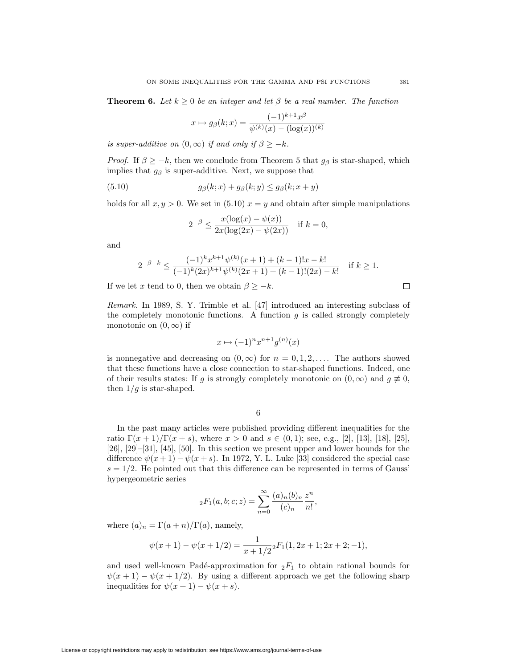**Theorem 6.** Let  $k \geq 0$  be an integer and let  $\beta$  be a real number. The function

$$
x \mapsto g_{\beta}(k; x) = \frac{(-1)^{k+1} x^{\beta}}{\psi^{(k)}(x) - (\log(x))^{(k)}}
$$

is super-additive on  $(0, \infty)$  if and only if  $\beta \geq -k$ .

*Proof.* If  $\beta \geq -k$ , then we conclude from Theorem 5 that  $g_{\beta}$  is star-shaped, which implies that  $g_\beta$  is super-additive. Next, we suppose that

(5.10) 
$$
g_{\beta}(k;x) + g_{\beta}(k;y) \leq g_{\beta}(k;x+y)
$$

holds for all  $x, y > 0$ . We set in (5.10)  $x = y$  and obtain after simple manipulations

$$
2^{-\beta} \le \frac{x(\log(x) - \psi(x))}{2x(\log(2x) - \psi(2x))} \quad \text{if } k = 0,
$$

and

$$
2^{-\beta-k} \le \frac{(-1)^k x^{k+1} \psi^{(k)}(x+1) + (k-1)! x - k!}{(-1)^k (2x)^{k+1} \psi^{(k)}(2x+1) + (k-1)! (2x) - k!}
$$
 if  $k \ge 1$ .

If we let x tend to 0, then we obtain  $\beta \geq -k$ .

Remark. In 1989, S. Y. Trimble et al. [47] introduced an interesting subclass of the completely monotonic functions. A function  $g$  is called strongly completely monotonic on  $(0, \infty)$  if

$$
x \mapsto (-1)^n x^{n+1} g^{(n)}(x)
$$

is nonnegative and decreasing on  $(0, \infty)$  for  $n = 0, 1, 2, \ldots$ . The authors showed that these functions have a close connection to star-shaped functions. Indeed, one of their results states: If g is strongly completely monotonic on  $(0, \infty)$  and  $g \neq 0$ , then  $1/g$  is star-shaped.

6

In the past many articles were published providing different inequalities for the ratio  $\Gamma(x+1)/\Gamma(x+s)$ , where  $x > 0$  and  $s \in (0,1)$ ; see, e.g., [2], [13], [18], [25], [26], [29]–[31], [45], [50]. In this section we present upper and lower bounds for the difference  $\psi(x+1) - \psi(x+s)$ . In 1972, Y. L. Luke [33] considered the special case  $s = 1/2$ . He pointed out that this difference can be represented in terms of Gauss' hypergeometric series

$$
{}_2F_1(a,b;c;z) = \sum_{n=0}^{\infty} \frac{(a)_n (b)_n}{(c)_n} \frac{z^n}{n!},
$$

where  $(a)_n = \Gamma(a+n)/\Gamma(a)$ , namely,

$$
\psi(x+1) - \psi(x+1/2) = \frac{1}{x+1/2}{}_2F_1(1, 2x+1; 2x+2; -1),
$$

and used well-known Padé-approximation for  ${}_2F_1$  to obtain rational bounds for  $\psi(x+1) - \psi(x+1/2)$ . By using a different approach we get the following sharp inequalities for  $\psi(x+1) - \psi(x+s)$ .

License or copyright restrictions may apply to redistribution; see https://www.ams.org/journal-terms-of-use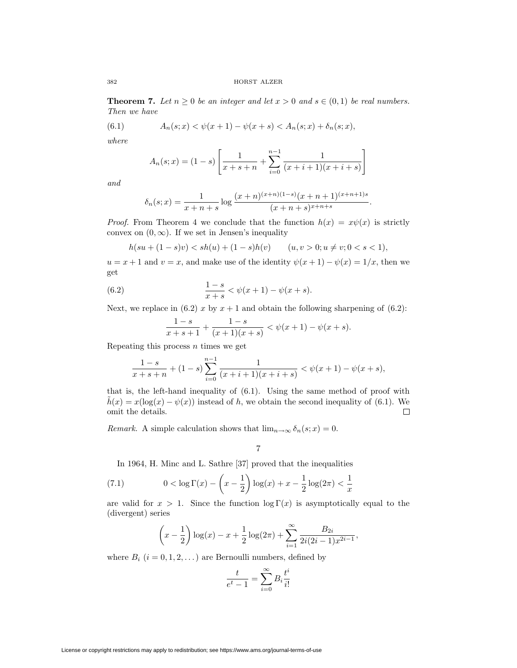**Theorem 7.** Let  $n \geq 0$  be an integer and let  $x > 0$  and  $s \in (0,1)$  be real numbers. Then we have

(6.1) 
$$
A_n(s; x) < \psi(x+1) - \psi(x+s) < A_n(s; x) + \delta_n(s; x),
$$

where

$$
A_n(s; x) = (1 - s) \left[ \frac{1}{x + s + n} + \sum_{i=0}^{n-1} \frac{1}{(x + i + 1)(x + i + s)} \right]
$$

and

$$
\delta_n(s;x) = \frac{1}{x+n+s} \log \frac{(x+n)^{(x+n)(1-s)}(x+n+1)^{(x+n+1)s}}{(x+n+s)^{x+n+s}}.
$$

*Proof.* From Theorem 4 we conclude that the function  $h(x) = x\psi(x)$  is strictly convex on  $(0, \infty)$ . If we set in Jensen's inequality

$$
h(su + (1 - s)v) < sh(u) + (1 - s)h(v) \qquad (u, v > 0; u \neq v; 0 < s < 1),
$$

 $u = x + 1$  and  $v = x$ , and make use of the identity  $\psi(x + 1) - \psi(x) = 1/x$ , then we get

(6.2) 
$$
\frac{1-s}{x+s} < \psi(x+1) - \psi(x+s).
$$

Next, we replace in (6.2) x by  $x + 1$  and obtain the following sharpening of (6.2):

$$
\frac{1-s}{x+s+1} + \frac{1-s}{(x+1)(x+s)} < \psi(x+1) - \psi(x+s).
$$

Repeating this process  $n$  times we get

$$
\frac{1-s}{x+s+n} + (1-s)\sum_{i=0}^{n-1} \frac{1}{(x+i+1)(x+i+s)} < \psi(x+1) - \psi(x+s),
$$

that is, the left-hand inequality of (6.1). Using the same method of proof with  $\tilde{h}(x) = x(\log(x) - \psi(x))$  instead of h, we obtain the second inequality of (6.1). We omit the details.

Remark. A simple calculation shows that  $\lim_{n\to\infty} \delta_n(s; x) = 0$ .

7

In 1964, H. Minc and L. Sathre [37] proved that the inequalities

(7.1) 
$$
0 < \log \Gamma(x) - \left(x - \frac{1}{2}\right) \log(x) + x - \frac{1}{2} \log(2\pi) < \frac{1}{x}
$$

are valid for  $x > 1$ . Since the function  $\log \Gamma(x)$  is asymptotically equal to the (divergent) series

$$
\left(x-\frac{1}{2}\right)\log(x)-x+\frac{1}{2}\log(2\pi)+\sum_{i=1}^{\infty}\frac{B_{2i}}{2i(2i-1)x^{2i-1}},
$$

where  $B_i$   $(i = 0, 1, 2, ...)$  are Bernoulli numbers, defined by

$$
\frac{t}{e^t - 1} = \sum_{i=0}^{\infty} B_i \frac{t^i}{i!}
$$

License or copyright restrictions may apply to redistribution; see https://www.ams.org/journal-terms-of-use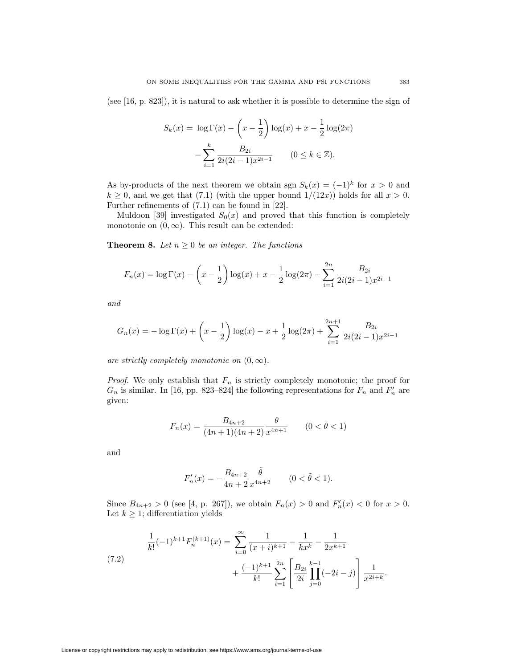(see [16, p. 823]), it is natural to ask whether it is possible to determine the sign of

$$
S_k(x) = \log \Gamma(x) - \left(x - \frac{1}{2}\right) \log(x) + x - \frac{1}{2} \log(2\pi)
$$

$$
- \sum_{i=1}^k \frac{B_{2i}}{2i(2i-1)x^{2i-1}} \qquad (0 \le k \in \mathbb{Z}).
$$

As by-products of the next theorem we obtain sgn  $S_k(x)=(-1)^k$  for  $x>0$  and  $k \geq 0$ , and we get that (7.1) (with the upper bound  $1/(12x)$ ) holds for all  $x > 0$ . Further refinements of (7.1) can be found in [22].

Muldoon [39] investigated  $S_0(x)$  and proved that this function is completely monotonic on  $(0, \infty)$ . This result can be extended:

**Theorem 8.** Let  $n \geq 0$  be an integer. The functions

$$
F_n(x) = \log \Gamma(x) - \left(x - \frac{1}{2}\right) \log(x) + x - \frac{1}{2} \log(2\pi) - \sum_{i=1}^{2n} \frac{B_{2i}}{2i(2i-1)x^{2i-1}}
$$

and

$$
G_n(x) = -\log \Gamma(x) + \left(x - \frac{1}{2}\right)\log(x) - x + \frac{1}{2}\log(2\pi) + \sum_{i=1}^{2n+1} \frac{B_{2i}}{2i(2i-1)x^{2i-1}}
$$

are strictly completely monotonic on  $(0, \infty)$ .

*Proof.* We only establish that  $F_n$  is strictly completely monotonic; the proof for  $G_n$  is similar. In [16, pp. 823–824] the following representations for  $F_n$  and  $F'_n$  are given:

$$
F_n(x) = \frac{B_{4n+2}}{(4n+1)(4n+2)} \frac{\theta}{x^{4n+1}} \qquad (0 < \theta < 1)
$$

and

$$
F'_n(x) = -\frac{B_{4n+2}}{4n+2} \frac{\tilde{\theta}}{x^{4n+2}} \qquad (0 < \tilde{\theta} < 1).
$$

Since  $B_{4n+2} > 0$  (see [4, p. 267]), we obtain  $F_n(x) > 0$  and  $F'_n(x) < 0$  for  $x > 0$ . Let  $k \geq 1$ ; differentiation yields

(7.2) 
$$
\frac{1}{k!}(-1)^{k+1}F_n^{(k+1)}(x) = \sum_{i=0}^{\infty} \frac{1}{(x+i)^{k+1}} - \frac{1}{kx^k} - \frac{1}{2x^{k+1}}
$$

$$
+ \frac{(-1)^{k+1}}{k!} \sum_{i=1}^{2n} \left[ \frac{B_{2i}}{2i} \prod_{j=0}^{k-1} (-2i - j) \right] \frac{1}{x^{2i+k}}.
$$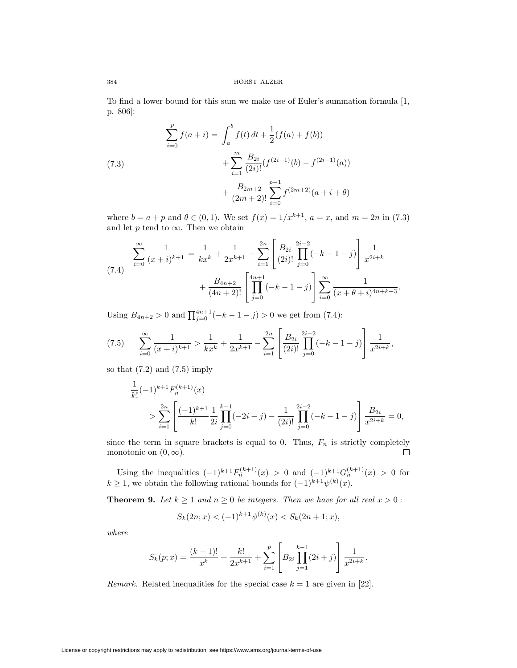To find a lower bound for this sum we make use of Euler's summation formula [1, p. 806]:

(7.3)  

$$
\sum_{i=0}^{p} f(a+i) = \int_{a}^{b} f(t) dt + \frac{1}{2} (f(a) + f(b))
$$

$$
+ \sum_{i=1}^{m} \frac{B_{2i}}{(2i)!} (f^{(2i-1)}(b) - f^{(2i-1)}(a))
$$

$$
+ \frac{B_{2m+2}}{(2m+2)!} \sum_{i=0}^{p-1} f^{(2m+2)}(a+i+\theta)
$$

where  $b = a + p$  and  $\theta \in (0, 1)$ . We set  $f(x) = 1/x^{k+1}$ ,  $a = x$ , and  $m = 2n$  in (7.3) and let  $p$  tend to  $\infty$ . Then we obtain

$$
\sum_{i=0}^{\infty} \frac{1}{(x+i)^{k+1}} = \frac{1}{kx^k} + \frac{1}{2x^{k+1}} - \sum_{i=1}^{2n} \left[ \frac{B_{2i}}{(2i)!} \prod_{j=0}^{2i-2} (-k-1-j) \right] \frac{1}{x^{2i+k}}
$$

$$
+ \frac{B_{4n+2}}{(4n+2)!} \left[ \prod_{j=0}^{4n+1} (-k-1-j) \right] \sum_{i=0}^{\infty} \frac{1}{(x+\theta+i)^{4n+k+3}}.
$$

Using  $B_{4n+2} > 0$  and  $\prod_{j=0}^{4n+1} (-k-1-j) > 0$  we get from (7.4):

$$
(7.5) \qquad \sum_{i=0}^{\infty} \frac{1}{(x+i)^{k+1}} > \frac{1}{kx^k} + \frac{1}{2x^{k+1}} - \sum_{i=1}^{2n} \left[ \frac{B_{2i}}{(2i)!} \prod_{j=0}^{2i-2} (-k-1-j) \right] \frac{1}{x^{2i+k}},
$$

so that  $(7.2)$  and  $(7.5)$  imply

$$
\frac{1}{k!}(-1)^{k+1}F_n^{(k+1)}(x)
$$
\n
$$
>\sum_{i=1}^{2n} \left[ \frac{(-1)^{k+1}}{k!} \frac{1}{2i} \prod_{j=0}^{k-1} (-2i-j) - \frac{1}{(2i)!} \prod_{j=0}^{2i-2} (-k-1-j) \right] \frac{B_{2i}}{x^{2i+k}} = 0,
$$

since the term in square brackets is equal to 0. Thus,  $F_n$  is strictly completely monotonic on  $(0, \infty)$ . 口

Using the inequalities  $(-1)^{k+1}F_n^{(k+1)}(x) > 0$  and  $(-1)^{k+1}G_n^{(k+1)}(x) > 0$  for  $k \geq 1$ , we obtain the following rational bounds for  $(-1)^{k+1}\psi^{(k)}(x)$ .

**Theorem 9.** Let  $k \ge 1$  and  $n \ge 0$  be integers. Then we have for all real  $x > 0$ :

$$
S_k(2n; x) < (-1)^{k+1} \psi^{(k)}(x) < S_k(2n+1; x),
$$

where

$$
S_k(p;x) = \frac{(k-1)!}{x^k} + \frac{k!}{2x^{k+1}} + \sum_{i=1}^p \left[ B_{2i} \prod_{j=1}^{k-1} (2i+j) \right] \frac{1}{x^{2i+k}}.
$$

Remark. Related inequalities for the special case  $k = 1$  are given in [22].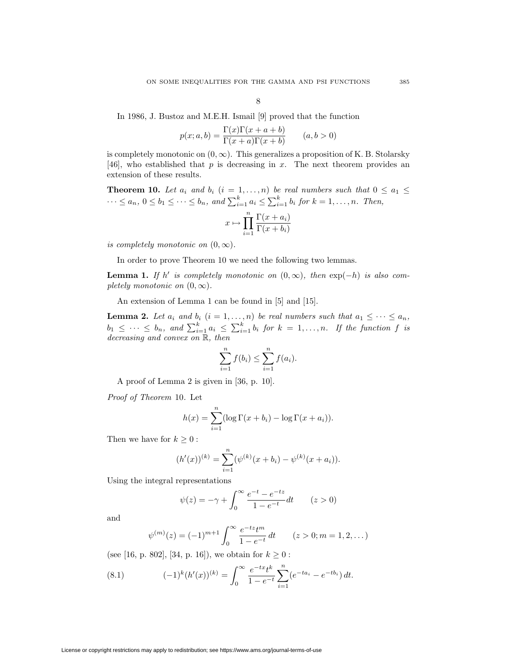In 1986, J. Bustoz and M.E.H. Ismail [9] proved that the function

$$
p(x;a,b) = \frac{\Gamma(x)\Gamma(x+a+b)}{\Gamma(x+a)\Gamma(x+b)} \qquad (a,b>0)
$$

is completely monotonic on  $(0, \infty)$ . This generalizes a proposition of K. B. Stolarsky [46], who established that p is decreasing in x. The next theorem provides an extension of these results.

**Theorem 10.** Let  $a_i$  and  $b_i$   $(i = 1, \ldots, n)$  be real numbers such that  $0 \le a_1 \le$  $\cdots \le a_n, 0 \le b_1 \le \cdots \le b_n$ , and  $\sum_{i=1}^k a_i \le \sum_{i=1}^k b_i$  for  $k = 1, \ldots, n$ . Then,  $x \mapsto \prod_{i=1}^{n} \frac{\Gamma(x+a_i)}{\Gamma(x+b_i)}$ 

$$
x \mapsto \prod_{i=1}^{\infty} \frac{\Gamma(x + a_i)}{\Gamma(x + b_i)}
$$

is completely monotonic on  $(0, \infty)$ .

In order to prove Theorem 10 we need the following two lemmas.

**Lemma 1.** If h' is completely monotonic on  $(0, \infty)$ , then  $\exp(-h)$  is also completely monotonic on  $(0, \infty)$ .

An extension of Lemma 1 can be found in [5] and [15].

**Lemma 2.** Let  $a_i$  and  $b_i$   $(i = 1, ..., n)$  be real numbers such that  $a_1 \leq \cdots \leq a_n$ ,  $b_1 \leq \cdots \leq b_n$ , and  $\sum_{i=1}^k a_i \leq \sum_{i=1}^k b_i$  for  $k = 1, \ldots, n$ . If the function f is decreasing and convex on R, then

$$
\sum_{i=1}^{n} f(b_i) \le \sum_{i=1}^{n} f(a_i).
$$

A proof of Lemma 2 is given in [36, p. 10].

Proof of Theorem 10. Let

$$
h(x) = \sum_{i=1}^{n} (\log \Gamma(x + b_i) - \log \Gamma(x + a_i)).
$$

Then we have for  $k \geq 0$ :

$$
(h'(x))^{(k)} = \sum_{i=1}^{n} (\psi^{(k)}(x+b_i) - \psi^{(k)}(x+a_i)).
$$

Using the integral representations

$$
\psi(z) = -\gamma + \int_0^\infty \frac{e^{-t} - e^{-tz}}{1 - e^{-t}} dt
$$
  $(z > 0)$ 

and

$$
\psi^{(m)}(z) = (-1)^{m+1} \int_0^\infty \frac{e^{-tz} t^m}{1 - e^{-t}} dt \qquad (z > 0; m = 1, 2, ...)
$$

(see [16, p. 802], [34, p. 16]), we obtain for  $k \geq 0$ :

(8.1) 
$$
(-1)^k (h'(x))^{(k)} = \int_0^\infty \frac{e^{-tx}t^k}{1 - e^{-t}} \sum_{i=1}^n (e^{-ta_i} - e^{-tb_i}) dt.
$$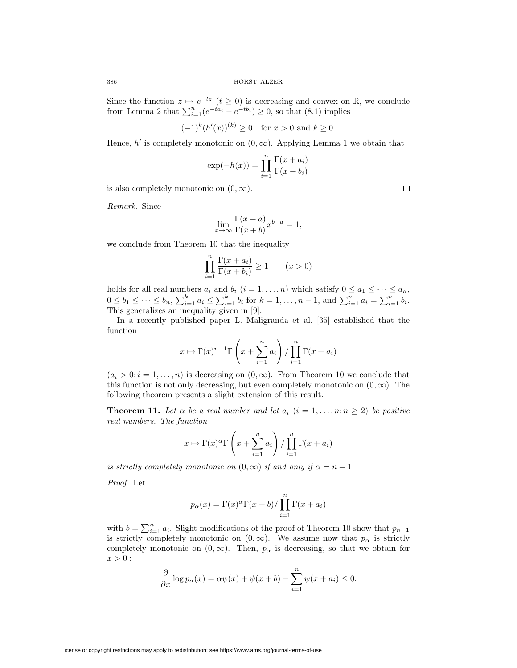Since the function  $z \mapsto e^{-tz}$   $(t \ge 0)$  is decreasing and convex on R, we conclude from Lemma 2 that  $\sum_{i=1}^{n} (e^{-ta_i} - e^{-tb_i}) \ge 0$ , so that (8.1) implies

$$
(-1)^k (h'(x))^{(k)} \ge 0 \quad \text{for } x > 0 \text{ and } k \ge 0.
$$

Hence, h' is completely monotonic on  $(0, \infty)$ . Applying Lemma 1 we obtain that

$$
\exp(-h(x)) = \prod_{i=1}^{n} \frac{\Gamma(x + a_i)}{\Gamma(x + b_i)}
$$

is also completely monotonic on  $(0, \infty)$ .

Remark. Since

$$
\lim_{x \to \infty} \frac{\Gamma(x+a)}{\Gamma(x+b)} x^{b-a} = 1,
$$

we conclude from Theorem 10 that the inequality

$$
\prod_{i=1}^{n} \frac{\Gamma(x+a_i)}{\Gamma(x+b_i)} \ge 1 \qquad (x>0)
$$

holds for all real numbers  $a_i$  and  $b_i$   $(i = 1, ..., n)$  which satisfy  $0 \le a_1 \le \cdots \le a_n$ ,  $0 \leq b_1 \leq \cdots \leq b_n$ ,  $\sum_{i=1}^k a_i \leq \sum_{i=1}^k b_i$  for  $k = 1, \ldots, n-1$ , and  $\sum_{i=1}^n a_i = \sum_{i=1}^n b_i$ . This generalizes an inequality given in [9].

In a recently published paper L. Maligranda et al. [35] established that the function

$$
x \mapsto \Gamma(x)^{n-1} \Gamma\left(x + \sum_{i=1}^{n} a_i\right) / \prod_{i=1}^{n} \Gamma(x + a_i)
$$

 $(a_i > 0; i = 1, \ldots, n)$  is decreasing on  $(0, \infty)$ . From Theorem 10 we conclude that this function is not only decreasing, but even completely monotonic on  $(0, \infty)$ . The following theorem presents a slight extension of this result.

**Theorem 11.** Let  $\alpha$  be a real number and let  $a_i$  ( $i = 1, \ldots, n; n \geq 2$ ) be positive real numbers. The function

$$
x \mapsto \Gamma(x)^{\alpha} \Gamma\left(x + \sum_{i=1}^{n} a_i\right) / \prod_{i=1}^{n} \Gamma(x + a_i)
$$

is strictly completely monotonic on  $(0, \infty)$  if and only if  $\alpha = n - 1$ .

Proof. Let

$$
p_{\alpha}(x) = \Gamma(x)^{\alpha} \Gamma(x+b) / \prod_{i=1}^{n} \Gamma(x+a_i)
$$

with  $b = \sum_{i=1}^{n} a_i$ . Slight modifications of the proof of Theorem 10 show that  $p_{n-1}$ is strictly completely monotonic on  $(0, \infty)$ . We assume now that  $p_{\alpha}$  is strictly completely monotonic on  $(0, \infty)$ . Then,  $p_{\alpha}$  is decreasing, so that we obtain for  $x > 0$ :

$$
\frac{\partial}{\partial x}\log p_{\alpha}(x) = \alpha\psi(x) + \psi(x+b) - \sum_{i=1}^{n} \psi(x+a_i) \le 0.
$$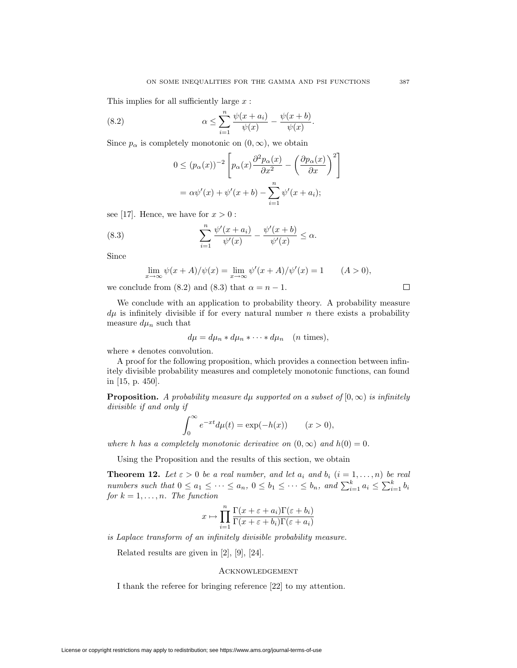This implies for all sufficiently large  $x$ :

(8.2) 
$$
\alpha \leq \sum_{i=1}^{n} \frac{\psi(x+a_i)}{\psi(x)} - \frac{\psi(x+b)}{\psi(x)}.
$$

Since  $p_{\alpha}$  is completely monotonic on  $(0, \infty)$ , we obtain

$$
0 \le (p_{\alpha}(x))^{-2} \left[ p_{\alpha}(x) \frac{\partial^2 p_{\alpha}(x)}{\partial x^2} - \left( \frac{\partial p_{\alpha}(x)}{\partial x} \right)^2 \right]
$$

$$
= \alpha \psi'(x) + \psi'(x+b) - \sum_{i=1}^n \psi'(x+a_i);
$$

see [17]. Hence, we have for  $x > 0$ :

(8.3) 
$$
\sum_{i=1}^{n} \frac{\psi'(x+a_i)}{\psi'(x)} - \frac{\psi'(x+b)}{\psi'(x)} \le \alpha.
$$

Since

$$
\lim_{x \to \infty} \psi(x+A)/\psi(x) = \lim_{x \to \infty} \psi'(x+A)/\psi'(x) = 1 \qquad (A > 0),
$$

we conclude from (8.2) and (8.3) that  $\alpha = n - 1$ .

We conclude with an application to probability theory. A probability measure  $d\mu$  is infinitely divisible if for every natural number n there exists a probability measure  $d\mu_n$  such that

$$
d\mu = d\mu_n * d\mu_n * \cdots * d\mu_n \quad (n \text{ times}),
$$

where ∗ denotes convolution.

A proof for the following proposition, which provides a connection between infinitely divisible probability measures and completely monotonic functions, can found in [15, p. 450].

**Proposition.** A probability measure dµ supported on a subset of  $[0, \infty)$  is infinitely divisible if and only if

$$
\int_0^\infty e^{-xt} d\mu(t) = \exp(-h(x)) \qquad (x > 0),
$$

where h has a completely monotonic derivative on  $(0, \infty)$  and  $h(0) = 0$ .

Using the Proposition and the results of this section, we obtain

**Theorem 12.** Let  $\varepsilon > 0$  be a real number, and let  $a_i$  and  $b_i$   $(i = 1, \ldots, n)$  be real numbers such that  $0 \le a_1 \le \cdots \le a_n$ ,  $0 \le b_1 \le \cdots \le b_n$ , and  $\sum_{i=1}^k a_i \le \sum_{i=1}^k b_i$ for  $k = 1, \ldots, n$ . The function

$$
x \mapsto \prod_{i=1}^{n} \frac{\Gamma(x + \varepsilon + a_i)\Gamma(\varepsilon + b_i)}{\Gamma(x + \varepsilon + b_i)\Gamma(\varepsilon + a_i)}
$$

is Laplace transform of an infinitely divisible probability measure.

Related results are given in [2], [9], [24].

# **ACKNOWLEDGEMENT**

I thank the referee for bringing reference [22] to my attention.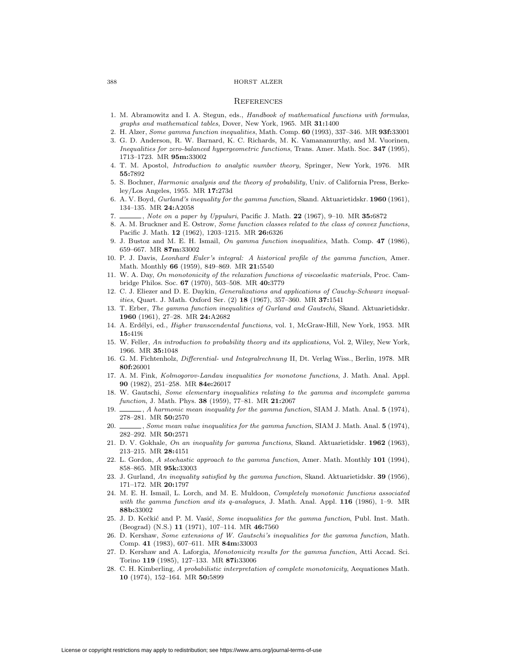#### 388 HORST ALZER

### **REFERENCES**

- 1. M. Abramowitz and I. A. Stegun, eds., Handbook of mathematical functions with formulas, graphs and mathematical tables, Dover, New York, 1965. MR **31:**1400
- 2. H. Alzer, Some gamma function inequalities, Math. Comp. **60** (1993), 337–346. MR **93f:**33001
- 3. G. D. Anderson, R. W. Barnard, K. C. Richards, M. K. Vamanamurthy, and M. Vuorinen, Inequalities for zero-balanced hypergeometric functions, Trans. Amer. Math. Soc. **347** (1995), 1713–1723. MR **95m:**33002
- 4. T. M. Apostol, Introduction to analytic number theory, Springer, New York, 1976. MR **55:**7892
- 5. S. Bochner, Harmonic analysis and the theory of probability, Univ. of California Press, Berkeley/Los Angeles, 1955. MR **17:**273d
- 6. A. V. Boyd, Gurland's inequality for the gamma function, Skand. Aktuarietidskr. **1960** (1961), 134–135. MR **24:**A2058
- 7. , Note on a paper by Uppuluri, Pacific J. Math. **22** (1967), 9–10. MR **35:**6872
- 8. A. M. Bruckner and E. Ostrow, Some function classes related to the class of convex functions, Pacific J. Math. **12** (1962), 1203–1215. MR **26:**6326
- 9. J. Bustoz and M. E. H. Ismail, On gamma function inequalities, Math. Comp. **47** (1986), 659–667. MR **87m:**33002
- 10. P. J. Davis, Leonhard Euler's integral: A historical profile of the gamma function, Amer. Math. Monthly **66** (1959), 849–869. MR **21:**5540
- 11. W. A. Day, On monotonicity of the relaxation functions of viscoelastic materials, Proc. Cambridge Philos. Soc. **67** (1970), 503–508. MR **40:**3779
- 12. C. J. Eliezer and D. E. Daykin, Generalizations and applications of Cauchy-Schwarz inequalities, Quart. J. Math. Oxford Ser. (2) **18** (1967), 357–360. MR **37:**1541
- 13. T. Erber, The gamma function inequalities of Gurland and Gautschi, Skand. Aktuarietidskr. **1960** (1961), 27–28. MR **24:**A2682
- 14. A. Erdélyi, ed., *Higher transcendental functions*, vol. 1, McGraw-Hill, New York, 1953. MR **15:**419i
- 15. W. Feller, An introduction to probability theory and its applications, Vol. 2, Wiley, New York, 1966. MR **35:**1048
- 16. G. M. Fichtenholz, Differential- und Integralrechnung II, Dt. Verlag Wiss., Berlin, 1978. MR **80f:**26001
- 17. A. M. Fink, Kolmogorov-Landau inequalities for monotone functions, J. Math. Anal. Appl. **90** (1982), 251–258. MR **84e:**26017
- 18. W. Gautschi, Some elementary inequalities relating to the gamma and incomplete gamma function, J. Math. Phys. **38** (1959), 77–81. MR **21:**2067
- 19. , A harmonic mean inequality for the gamma function, SIAM J. Math. Anal. **5** (1974), 278–281. MR **50:**2570
- 20. Some mean value inequalities for the gamma function, SIAM J. Math. Anal. **5** (1974), 282–292. MR **50:**2571
- 21. D. V. Gokhale, On an inequality for gamma functions, Skand. Aktuarietidskr. **1962** (1963), 213–215. MR **28:**4151
- 22. L. Gordon, A stochastic approach to the gamma function, Amer. Math. Monthly **101** (1994), 858–865. MR **95k:**33003
- 23. J. Gurland, An inequality satisfied by the gamma function, Skand. Aktuarietidskr. **39** (1956), 171–172. MR **20:**1797
- 24. M. E. H. Ismail, L. Lorch, and M. E. Muldoon, Completely monotonic functions associated with the gamma function and its q-analogues, J. Math. Anal. Appl. **116** (1986), 1–9. MR **88b:**33002
- 25. J. D. Kečkić and P. M. Vasić, Some inequalities for the gamma function, Publ. Inst. Math. (Beograd) (N.S.) **11** (1971), 107–114. MR **46:**7560
- 26. D. Kershaw, Some extensions of W. Gautschi's inequalities for the gamma function, Math. Comp. **41** (1983), 607–611. MR **84m:**33003
- 27. D. Kershaw and A. Laforgia, Monotonicity results for the gamma function, Atti Accad. Sci. Torino **119** (1985), 127–133. MR **87i:**33006
- 28. C. H. Kimberling, A probabilistic interpretation of complete monotonicity, Aequationes Math. **10** (1974), 152–164. MR **50:**5899